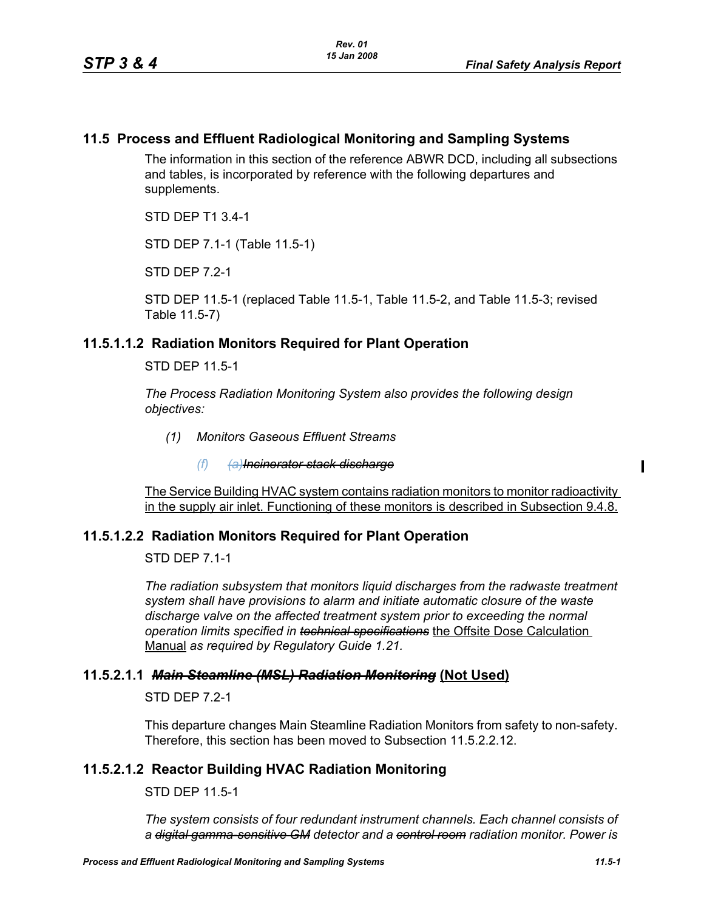## **11.5 Process and Effluent Radiological Monitoring and Sampling Systems**

The information in this section of the reference ABWR DCD, including all subsections and tables, is incorporated by reference with the following departures and supplements.

STD DEP T1 3.4-1

STD DEP 7.1-1 (Table 11.5-1)

STD DFP 7 2-1

STD DEP 11.5-1 (replaced Table 11.5-1, Table 11.5-2, and Table 11.5-3; revised Table 11.5-7)

## **11.5.1.1.2 Radiation Monitors Required for Plant Operation**

STD DEP 11.5-1

*The Process Radiation Monitoring System also provides the following design objectives:*

*(1) Monitors Gaseous Effluent Streams*

*(f) (a)Incinerator stack discharge*

The Service Building HVAC system contains radiation monitors to monitor radioactivity in the supply air inlet. Functioning of these monitors is described in Subsection 9.4.8.

## **11.5.1.2.2 Radiation Monitors Required for Plant Operation**

STD DEP 7.1-1

*The radiation subsystem that monitors liquid discharges from the radwaste treatment system shall have provisions to alarm and initiate automatic closure of the waste discharge valve on the affected treatment system prior to exceeding the normal operation limits specified in technical specifications* the Offsite Dose Calculation Manual *as required by Regulatory Guide 1.21.*

#### **11.5.2.1.1** *Main Steamline (MSL) Radiation Monitoring* **(Not Used)**

STD DEP 7.2-1

This departure changes Main Steamline Radiation Monitors from safety to non-safety. Therefore, this section has been moved to Subsection 11.5.2.2.12.

## <span id="page-0-0"></span>**11.5.2.1.2 Reactor Building HVAC Radiation Monitoring**

STD DEP 11.5-1

*The system consists of four redundant instrument channels. Each channel consists of a digital gamma-sensitive GM detector and a control room radiation monitor. Power is*   $\mathbf I$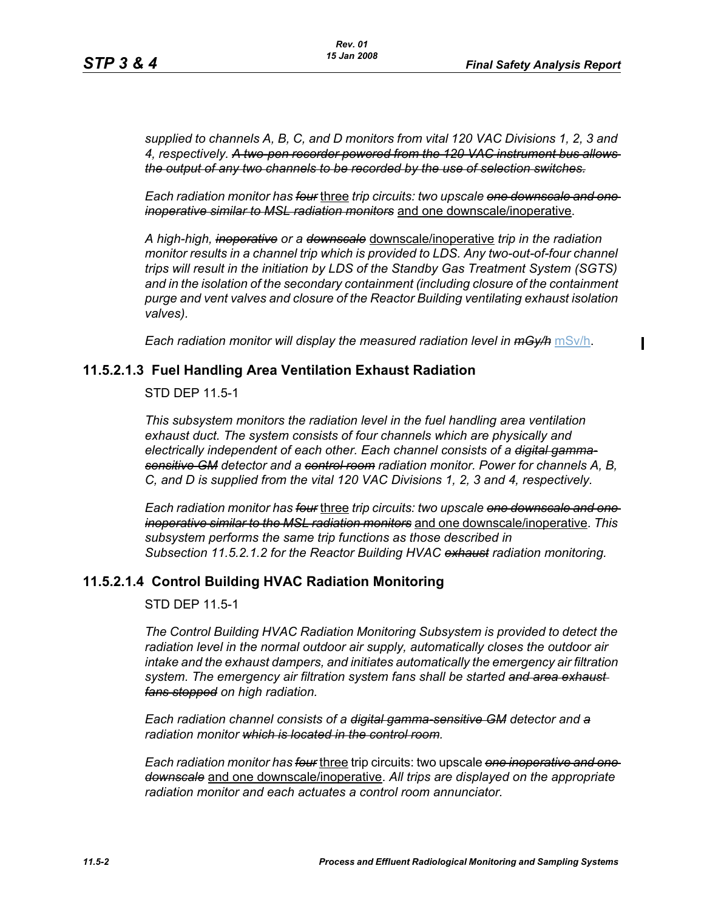*supplied to channels A, B, C, and D monitors from vital 120 VAC Divisions 1, 2, 3 and 4, respectively. A two-pen recorder powered from the 120 VAC instrument bus allows the output of any two channels to be recorded by the use of selection switches.*

*Each radiation monitor has four* three *trip circuits: two upscale one downscale and one inoperative similar to MSL radiation monitors* and one downscale/inoperative.

*A high-high, inoperative or a downscale* downscale/inoperative *trip in the radiation monitor results in a channel trip which is provided to LDS. Any two-out-of-four channel trips will result in the initiation by LDS of the Standby Gas Treatment System (SGTS) and in the isolation of the secondary containment (including closure of the containment purge and vent valves and closure of the Reactor Building ventilating exhaust isolation valves).*

*Each radiation monitor will display the measured radiation level in mGy/h* mSv/h.

## **11.5.2.1.3 Fuel Handling Area Ventilation Exhaust Radiation**

STD DEP 11.5-1

*This subsystem monitors the radiation level in the fuel handling area ventilation exhaust duct. The system consists of four channels which are physically and electrically independent of each other. Each channel consists of a digital gammasensitive GM detector and a control room radiation monitor. Power for channels A, B, C, and D is supplied from the vital 120 VAC Divisions 1, 2, 3 and 4, respectively.*

*Each radiation monitor has four* three *trip circuits: two upscale one downscale and one inoperative similar to the MSL radiation monitors* and one downscale/inoperative. *This subsystem performs the same trip functions as those described in Subsection [11.5.2.1.2](#page-0-0) for the Reactor Building HVAC exhaust radiation monitoring.*

# **11.5.2.1.4 Control Building HVAC Radiation Monitoring**

STD DEP 11.5-1

*The Control Building HVAC Radiation Monitoring Subsystem is provided to detect the radiation level in the normal outdoor air supply, automatically closes the outdoor air intake and the exhaust dampers, and initiates automatically the emergency air filtration system. The emergency air filtration system fans shall be started and area exhaust fans stopped on high radiation.*

*Each radiation channel consists of a digital gamma-sensitive GM detector and a radiation monitor which is located in the control room.*

*Each radiation monitor has four* three trip circuits: two upscale *one inoperative and one downscale* and one downscale/inoperative. *All trips are displayed on the appropriate radiation monitor and each actuates a control room annunciator.*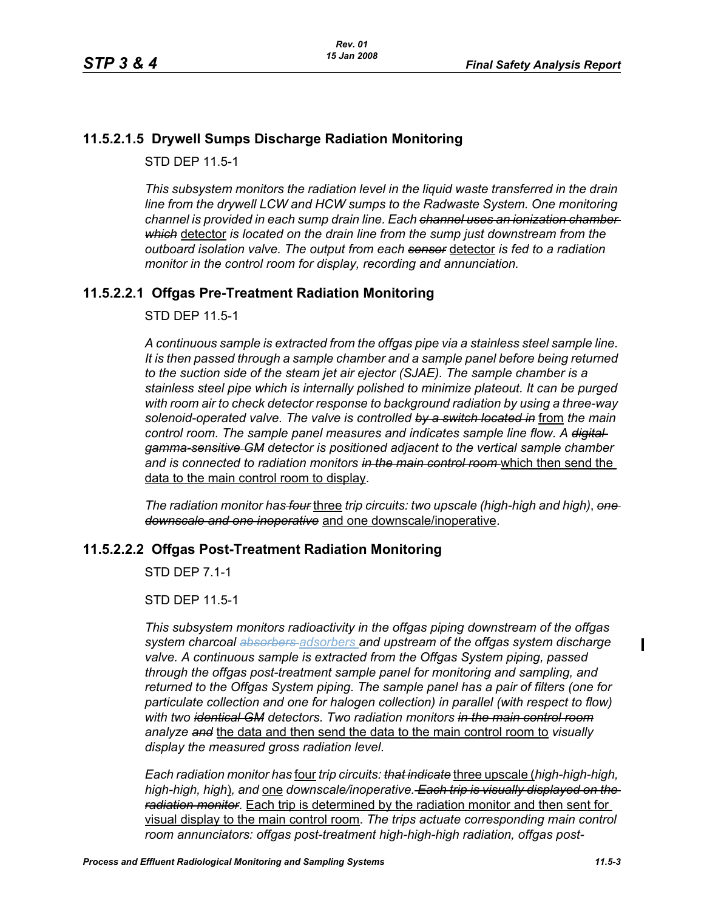# **11.5.2.1.5 Drywell Sumps Discharge Radiation Monitoring**

STD DEP 11.5-1

*This subsystem monitors the radiation level in the liquid waste transferred in the drain line from the drywell LCW and HCW sumps to the Radwaste System. One monitoring channel is provided in each sump drain line. Each channel uses an ionization chamber which* detector *is located on the drain line from the sump just downstream from the outboard isolation valve. The output from each sensor* detector *is fed to a radiation monitor in the control room for display, recording and annunciation.*

## **11.5.2.2.1 Offgas Pre-Treatment Radiation Monitoring**

STD DEP 11.5-1

*A continuous sample is extracted from the offgas pipe via a stainless steel sample line. It is then passed through a sample chamber and a sample panel before being returned to the suction side of the steam jet air ejector (SJAE). The sample chamber is a stainless steel pipe which is internally polished to minimize plateout. It can be purged with room air to check detector response to background radiation by using a three-way solenoid-operated valve. The valve is controlled by a switch located in* from *the main control room. The sample panel measures and indicates sample line flow. A digital gamma-sensitive GM detector is positioned adjacent to the vertical sample chamber and is connected to radiation monitors in the main control room* which then send the data to the main control room to display.

*The radiation monitor has four* three *trip circuits: two upscale (high-high and high)*, *one downscale and one inoperative* and one downscale/inoperative.

## **11.5.2.2.2 Offgas Post-Treatment Radiation Monitoring**

STD DEP 7.1-1

STD DEP 11.5-1

*This subsystem monitors radioactivity in the offgas piping downstream of the offgas system charcoal absorbers adsorbers and upstream of the offgas system discharge valve. A continuous sample is extracted from the Offgas System piping, passed through the offgas post-treatment sample panel for monitoring and sampling, and returned to the Offgas System piping. The sample panel has a pair of filters (one for particulate collection and one for halogen collection) in parallel (with respect to flow) with two identical GM detectors. Two radiation monitors in the main control room analyze and* the data and then send the data to the main control room to *visually display the measured gross radiation level*.

*Each radiation monitor has* four *trip circuits: that indicate* three upscale (*high-high-high, high-high, high*)*, and* one *downscale/inoperative. Each trip is visually displayed on the radiation monitor*. Each trip is determined by the radiation monitor and then sent for visual display to the main control room. *The trips actuate corresponding main control room annunciators: offgas post-treatment high-high-high radiation, offgas post-*  $\mathbf I$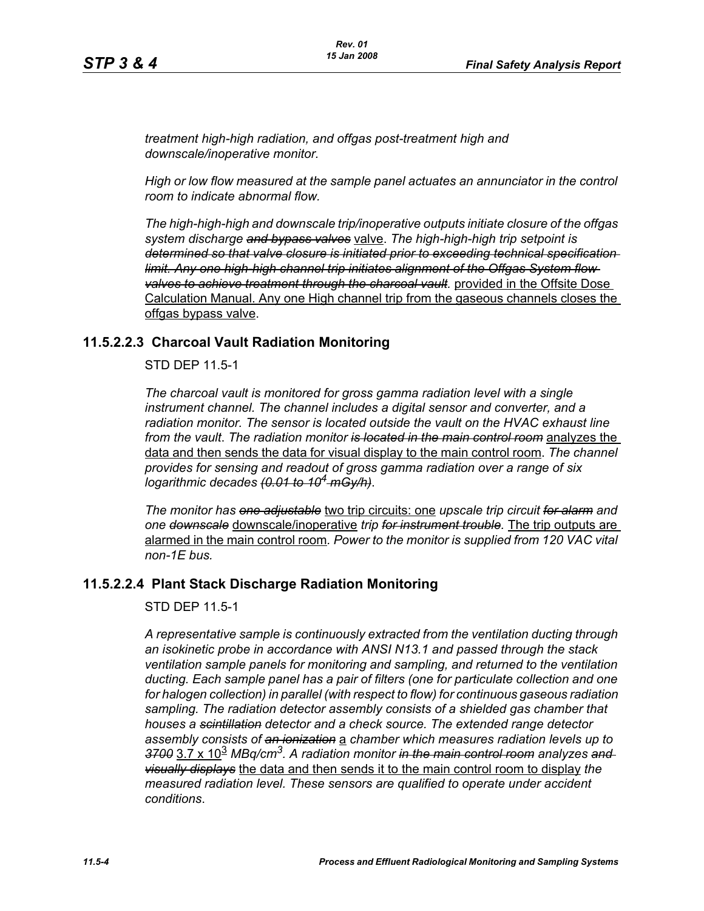*treatment high-high radiation, and offgas post-treatment high and downscale/inoperative monitor.*

*High or low flow measured at the sample panel actuates an annunciator in the control room to indicate abnormal flow.*

*The high-high-high and downscale trip/inoperative outputs initiate closure of the offgas system discharge and bypass valves* valve. *The high-high-high trip setpoint is determined so that valve closure is initiated prior to exceeding technical specification limit. Any one high-high channel trip initiates alignment of the Offgas System flow valves to achieve treatment through the charcoal vault.* provided in the Offsite Dose Calculation Manual. Any one High channel trip from the gaseous channels closes the offgas bypass valve.

## **11.5.2.2.3 Charcoal Vault Radiation Monitoring**

STD DEP 11.5-1

*The charcoal vault is monitored for gross gamma radiation level with a single instrument channel. The channel includes a digital sensor and converter, and a radiation monitor. The sensor is located outside the vault on the HVAC exhaust line from the vault*. *The radiation monitor is located in the main control room* analyzes the data and then sends the data for visual display to the main control room. *The channel provides for sensing and readout of gross gamma radiation over a range of six logarithmic decades (0.01 to 104 mGy/h)*.

*The monitor has one adjustable* two trip circuits: one *upscale trip circuit for alarm and one downscale* downscale/inoperative *trip for instrument trouble.* The trip outputs are alarmed in the main control room*. Power to the monitor is supplied from 120 VAC vital non-1E bus.*

## **11.5.2.2.4 Plant Stack Discharge Radiation Monitoring**

#### STD DEP 11.5-1

*A representative sample is continuously extracted from the ventilation ducting through an isokinetic probe in accordance with ANSI N13.1 and passed through the stack ventilation sample panels for monitoring and sampling, and returned to the ventilation ducting. Each sample panel has a pair of filters (one for particulate collection and one for halogen collection) in parallel (with respect to flow) for continuous gaseous radiation sampling. The radiation detector assembly consists of a shielded gas chamber that houses a scintillation detector and a check source. The extended range detector assembly consists of an ionization* a *chamber which measures radiation levels up to 3700* 3.7 x 10<sup>3</sup> *MBq/cm3. A radiation monitor in the main control room analyzes and visually displays* the data and then sends it to the main control room to display *the measured radiation level. These sensors are qualified to operate under accident conditions*.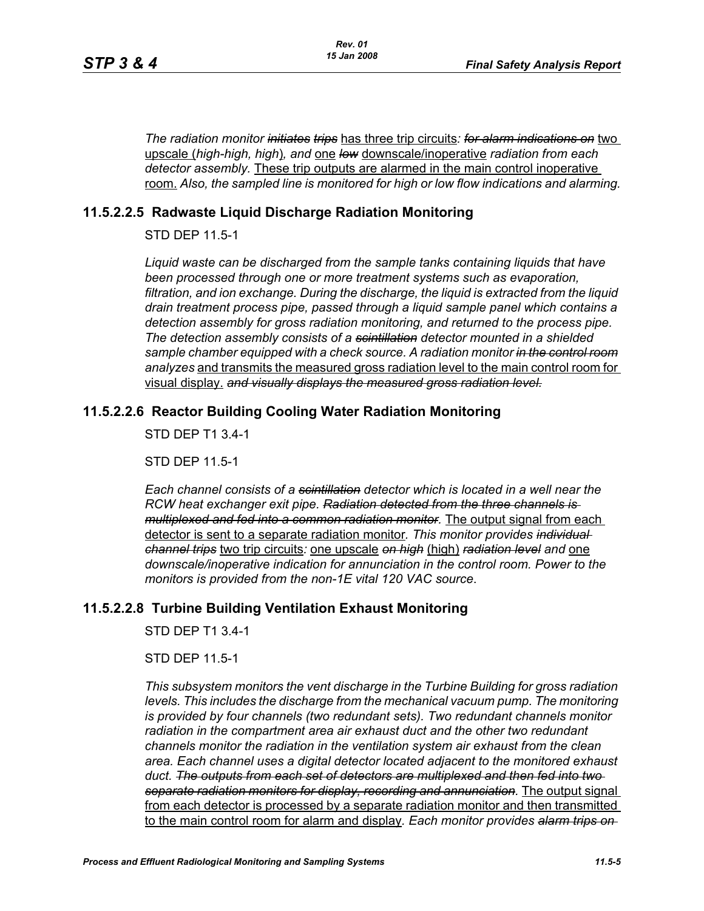*The radiation monitor initiates trips* has three trip circuits*: for alarm indications on* two upscale (*high-high, high*)*, and* one *low* downscale/inoperative *radiation from each detector assembly.* These trip outputs are alarmed in the main control inoperative room. *Also, the sampled line is monitored for high or low flow indications and alarming.*

## **11.5.2.2.5 Radwaste Liquid Discharge Radiation Monitoring**

STD DEP 11.5-1

*Liquid waste can be discharged from the sample tanks containing liquids that have been processed through one or more treatment systems such as evaporation, filtration, and ion exchange. During the discharge, the liquid is extracted from the liquid drain treatment process pipe, passed through a liquid sample panel which contains a detection assembly for gross radiation monitoring, and returned to the process pipe. The detection assembly consists of a scintillation detector mounted in a shielded sample chamber equipped with a check source. A radiation monitor in the control room analyzes* and transmits the measured gross radiation level to the main control room for visual display. *and visually displays the measured gross radiation level.*

# **11.5.2.2.6 Reactor Building Cooling Water Radiation Monitoring**

STD DEP T1 3.4-1

STD DEP 11.5-1

*Each channel consists of a scintillation detector which is located in a well near the RCW heat exchanger exit pipe. Radiation detected from the three channels is multiplexed and fed into a common radiation monitor.* The output signal from each detector is sent to a separate radiation monitor*. This monitor provides individual channel trips* two trip circuits*:* one upscale *on high* (high) *radiation level and* one *downscale/inoperative indication for annunciation in the control room. Power to the monitors is provided from the non-1E vital 120 VAC source*.

# **11.5.2.2.8 Turbine Building Ventilation Exhaust Monitoring**

STD DEP T1 3.4-1

STD DEP 11.5-1

*This subsystem monitors the vent discharge in the Turbine Building for gross radiation*  levels. This includes the discharge from the mechanical vacuum pump. The monitoring *is provided by four channels (two redundant sets). Two redundant channels monitor radiation in the compartment area air exhaust duct and the other two redundant channels monitor the radiation in the ventilation system air exhaust from the clean area. Each channel uses a digital detector located adjacent to the monitored exhaust duct. The outputs from each set of detectors are multiplexed and then fed into two separate radiation monitors for display, recording and annunciation.* The output signal from each detector is processed by a separate radiation monitor and then transmitted to the main control room for alarm and display*. Each monitor provides alarm trips on*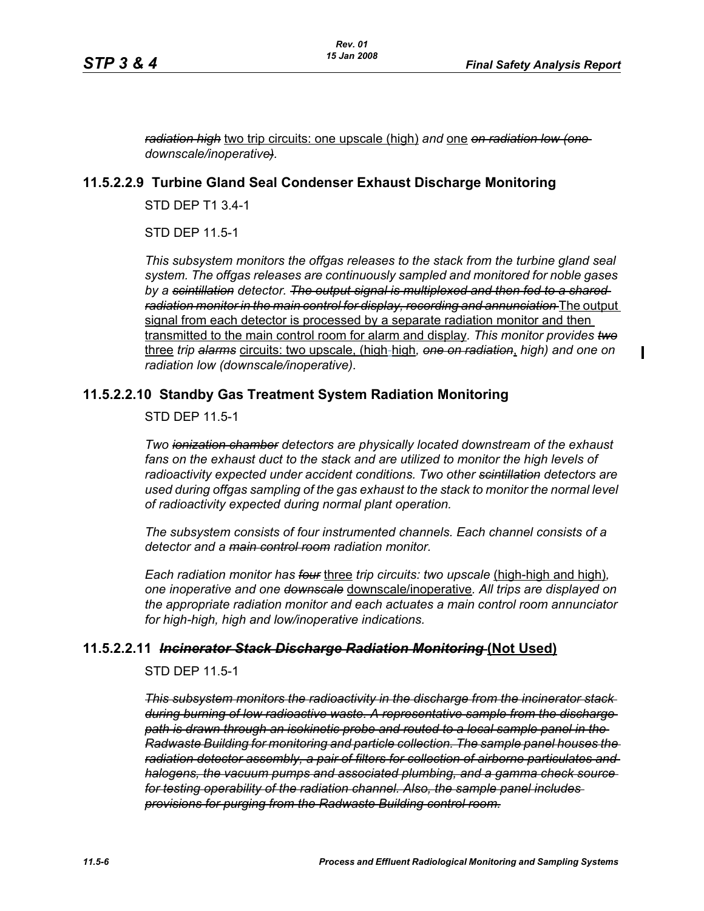П

*radiation high* two trip circuits: one upscale (high) *and* one *on radiation low (one downscale/inoperative).*

#### **11.5.2.2.9 Turbine Gland Seal Condenser Exhaust Discharge Monitoring**

STD DEP T1 3.4-1

STD DEP 11.5-1

*This subsystem monitors the offgas releases to the stack from the turbine gland seal system. The offgas releases are continuously sampled and monitored for noble gases by a scintillation detector. The output signal is multiplexed and then fed to a shared radiation monitor in the main control for display, recording and annunciation* The output signal from each detector is processed by a separate radiation monitor and then transmitted to the main control room for alarm and display*. This monitor provides two* three *trip alarms* circuits: two upscale, (high-high*, one on radiation*, *high) and one on radiation low (downscale/inoperative)*.

## **11.5.2.2.10 Standby Gas Treatment System Radiation Monitoring**

STD DEP 11.5-1

*Two ionization chamber detectors are physically located downstream of the exhaust*  fans on the exhaust duct to the stack and are utilized to monitor the high levels of *radioactivity expected under accident conditions. Two other scintillation detectors are used during offgas sampling of the gas exhaust to the stack to monitor the normal level of radioactivity expected during normal plant operation.*

*The subsystem consists of four instrumented channels. Each channel consists of a detector and a main control room radiation monitor.*

*Each radiation monitor has four* three *trip circuits: two upscale* (high-high and high)*, one inoperative and one downscale* downscale/inoperative*. All trips are displayed on the appropriate radiation monitor and each actuates a main control room annunciator for high-high, high and low/inoperative indications.*

## **11.5.2.2.11** *Incinerator Stack Discharge Radiation Monitoring* **(Not Used)**

STD DEP 11.5-1

*This subsystem monitors the radioactivity in the discharge from the incinerator stack during burning of low radioactive waste. A representative sample from the discharge path is drawn through an isokinetic probe and routed to a local sample panel in the Radwaste Building for monitoring and particle collection. The sample panel houses the radiation detector assembly, a pair of filters for collection of airborne particulates and halogens, the vacuum pumps and associated plumbing, and a gamma check source for testing operability of the radiation channel. Also, the sample panel includes provisions for purging from the Radwaste Building control room.*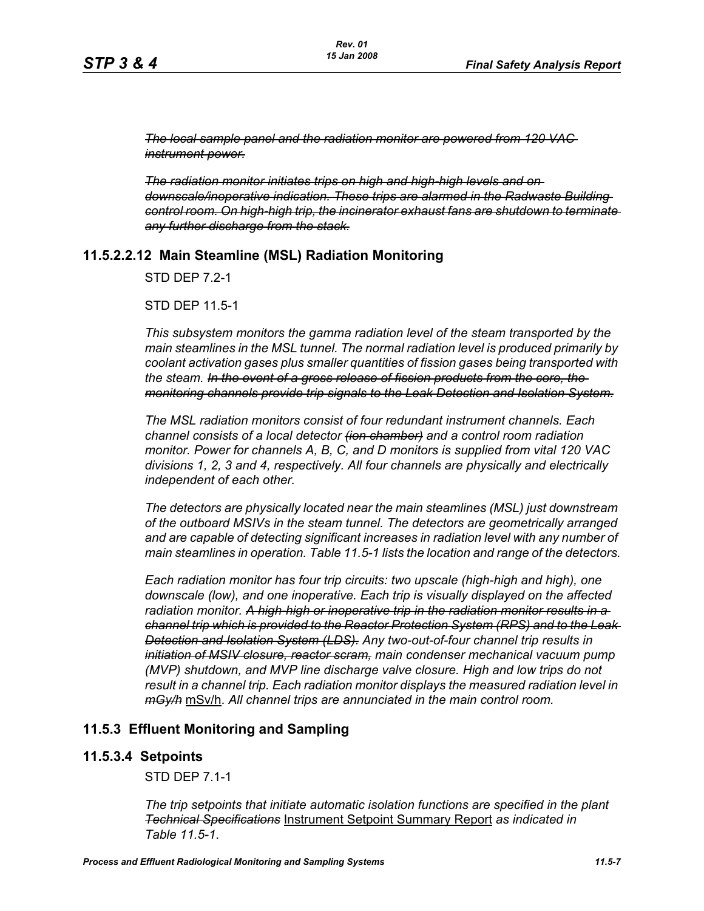*The local sample panel and the radiation monitor are powered from 120 VAC instrument power.*

*The radiation monitor initiates trips on high and high-high levels and on downscale/inoperative indication. These trips are alarmed in the Radwaste Building control room. On high-high trip, the incinerator exhaust fans are shutdown to terminate any further discharge from the stack.*

## **11.5.2.2.12 Main Steamline (MSL) Radiation Monitoring**

STD DEP 7.2-1

STD DEP 11.5-1

*This subsystem monitors the gamma radiation level of the steam transported by the main steamlines in the MSL tunnel. The normal radiation level is produced primarily by coolant activation gases plus smaller quantities of fission gases being transported with the steam. In the event of a gross release of fission products from the core, the monitoring channels provide trip signals to the Leak Detection and Isolation System.*

*The MSL radiation monitors consist of four redundant instrument channels. Each channel consists of a local detector (ion chamber) and a control room radiation monitor. Power for channels A, B, C, and D monitors is supplied from vital 120 VAC divisions 1, 2, 3 and 4, respectively. All four channels are physically and electrically independent of each other.*

*The detectors are physically located near the main steamlines (MSL) just downstream of the outboard MSIVs in the steam tunnel. The detectors are geometrically arranged and are capable of detecting significant increases in radiation level with any number of main steamlines in operation. Table 11.5-1 lists the location and range of the detectors.*

*Each radiation monitor has four trip circuits: two upscale (high-high and high), one downscale (low), and one inoperative. Each trip is visually displayed on the affected radiation monitor. A high-high or inoperative trip in the radiation monitor results in a channel trip which is provided to the Reactor Protection System (RPS) and to the Leak Detection and Isolation System (LDS). Any two-out-of-four channel trip results in initiation of MSIV closure, reactor scram, main condenser mechanical vacuum pump (MVP) shutdown, and MVP line discharge valve closure. High and low trips do not result in a channel trip. Each radiation monitor displays the measured radiation level in mGy/h* mSv/h. *All channel trips are annunciated in the main control room.*

## **11.5.3 Effluent Monitoring and Sampling**

#### **11.5.3.4 Setpoints**

STD DEP 7.1-1

*The trip setpoints that initiate automatic isolation functions are specified in the plant Technical Specifications* Instrument Setpoint Summary Report *as indicated in Table [11.5-1](#page-11-0)*.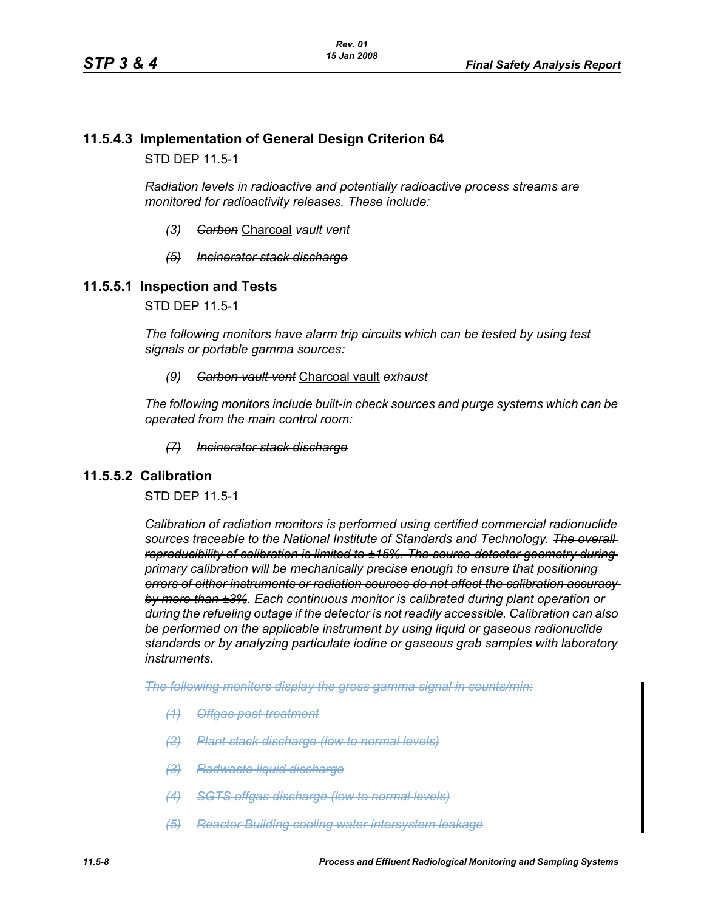# **11.5.4.3 Implementation of General Design Criterion 64**

STD DEP 11.5-1

*Radiation levels in radioactive and potentially radioactive process streams are monitored for radioactivity releases. These include:*

- *(3) Carbon* Charcoal *vault vent*
- *(5) Incinerator stack discharge*

#### **11.5.5.1 Inspection and Tests**

STD DEP 11.5-1

*The following monitors have alarm trip circuits which can be tested by using test signals or portable gamma sources:*

*(9) Carbon vault vent* Charcoal vault *exhaust*

*The following monitors include built-in check sources and purge systems which can be operated from the main control room:*

#### *(7) Incinerator stack discharge*

#### **11.5.5.2 Calibration**

STD DEP 11.5-1

*Calibration of radiation monitors is performed using certified commercial radionuclide sources traceable to the National Institute of Standards and Technology. The overall reproducibility of calibration is limited to ±15%. The source-detector geometry during primary calibration will be mechanically precise enough to ensure that positioning errors of either instruments or radiation sources do not affect the calibration accuracy by more than ±3%. Each continuous monitor is calibrated during plant operation or during the refueling outage if the detector is not readily accessible. Calibration can also be performed on the applicable instrument by using liquid or gaseous radionuclide standards or by analyzing particulate iodine or gaseous grab samples with laboratory instruments.*

*The following monitors display the gross gamma signal in counts/min:*

- *(1) Offgas post-treatment*
- *(2) Plant stack discharge (low to normal levels)*
- *(3) Radwaste liquid discharge*
- *(4) SGTS offgas discharge (low to normal levels)*
- *(5) Reactor Building cooling water intersystem leakage*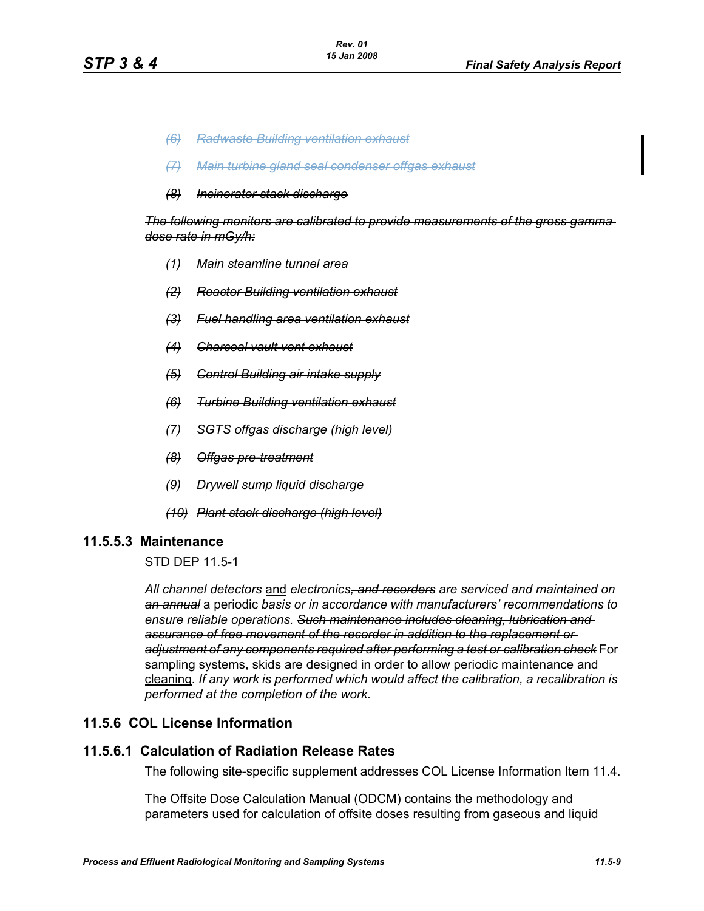- *(6) Radwaste Building ventilation exhaust*
- *(7) Main turbine gland seal condenser offgas exhaust*
- *(8) Incinerator stack discharge*

*The following monitors are calibrated to provide measurements of the gross gamma dose rate in mGy/h:*

- *(1) Main steamline tunnel area*
- *(2) Reactor Building ventilation exhaust*
- *(3) Fuel handling area ventilation exhaust*
- *(4) Charcoal vault vent exhaust*
- *(5) Control Building air intake supply*
- *(6) Turbine Building ventilation exhaust*
- *(7) SGTS offgas discharge (high level)*
- *(8) Offgas pre-treatment*
- *(9) Drywell sump liquid discharge*
- *(10) Plant stack discharge (high level)*

#### **11.5.5.3 Maintenance**

STD DEP 11.5-1

*All channel detectors* and *electronics, and recorders are serviced and maintained on an annual* a periodic *basis or in accordance with manufacturers' recommendations to ensure reliable operations. Such maintenance includes cleaning, lubrication and assurance of free movement of the recorder in addition to the replacement or adjustment of any components required after performing a test or calibration check* For sampling systems, skids are designed in order to allow periodic maintenance and cleaning*. If any work is performed which would affect the calibration, a recalibration is performed at the completion of the work.*

## **11.5.6 COL License Information**

#### **11.5.6.1 Calculation of Radiation Release Rates**

The following site-specific supplement addresses COL License Information Item 11.4.

The Offsite Dose Calculation Manual (ODCM) contains the methodology and parameters used for calculation of offsite doses resulting from gaseous and liquid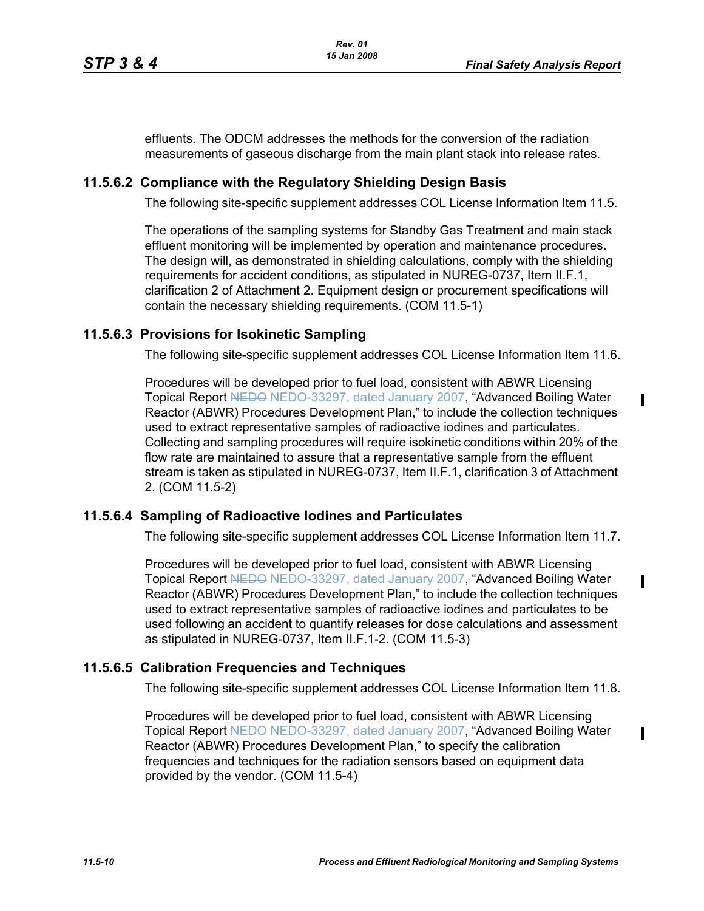$\mathbf I$ 

П

effluents. The ODCM addresses the methods for the conversion of the radiation measurements of gaseous discharge from the main plant stack into release rates.

# **11.5.6.2 Compliance with the Regulatory Shielding Design Basis**

The following site-specific supplement addresses COL License Information Item 11.5.

The operations of the sampling systems for Standby Gas Treatment and main stack effluent monitoring will be implemented by operation and maintenance procedures. The design will, as demonstrated in shielding calculations, comply with the shielding requirements for accident conditions, as stipulated in NUREG-0737, Item II.F.1, clarification 2 of Attachment 2. Equipment design or procurement specifications will contain the necessary shielding requirements. (COM 11.5-1)

# **11.5.6.3 Provisions for Isokinetic Sampling**

The following site-specific supplement addresses COL License Information Item 11.6.

Procedures will be developed prior to fuel load, consistent with ABWR Licensing Topical Report NEDO-33297, dated January 2007, "Advanced Boiling Water Reactor (ABWR) Procedures Development Plan," to include the collection techniques used to extract representative samples of radioactive iodines and particulates. Collecting and sampling procedures will require isokinetic conditions within 20% of the flow rate are maintained to assure that a representative sample from the effluent stream is taken as stipulated in NUREG-0737, Item II.F.1, clarification 3 of Attachment 2. (COM 11.5-2)

## **11.5.6.4 Sampling of Radioactive Iodines and Particulates**

The following site-specific supplement addresses COL License Information Item 11.7.

Procedures will be developed prior to fuel load, consistent with ABWR Licensing Topical Report NEDO NEDO-33297, dated January 2007, "Advanced Boiling Water Reactor (ABWR) Procedures Development Plan," to include the collection techniques used to extract representative samples of radioactive iodines and particulates to be used following an accident to quantify releases for dose calculations and assessment as stipulated in NUREG-0737, Item II.F.1-2. (COM 11.5-3)

# **11.5.6.5 Calibration Frequencies and Techniques**

The following site-specific supplement addresses COL License Information Item 11.8.

Procedures will be developed prior to fuel load, consistent with ABWR Licensing Topical Report NEDO NEDO-33297, dated January 2007, "Advanced Boiling Water Reactor (ABWR) Procedures Development Plan," to specify the calibration frequencies and techniques for the radiation sensors based on equipment data provided by the vendor. (COM 11.5-4)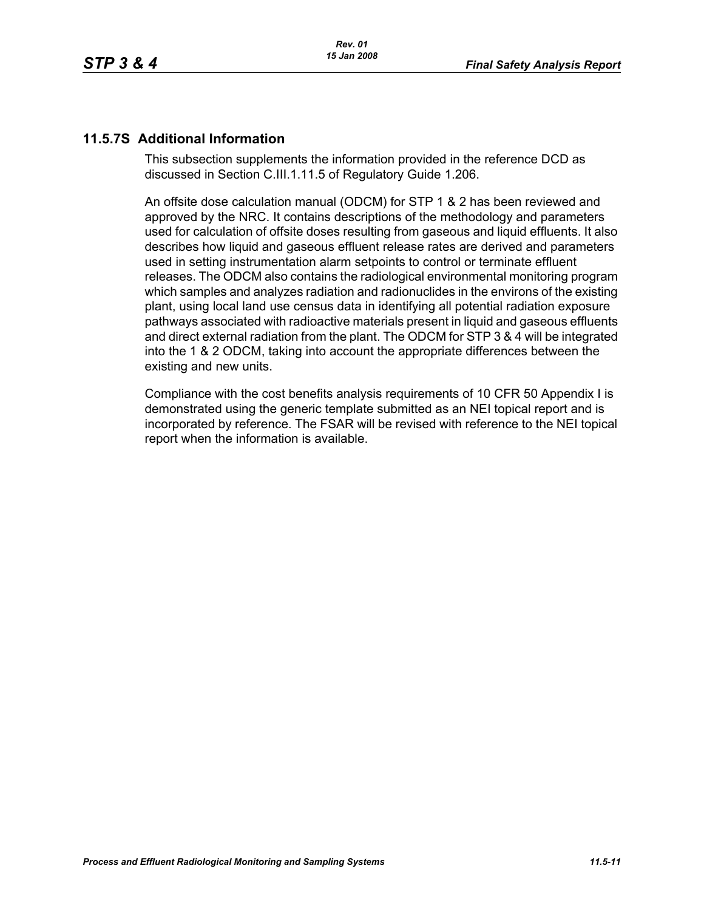# **11.5.7S Additional Information**

This subsection supplements the information provided in the reference DCD as discussed in Section C.III.1.11.5 of Regulatory Guide 1.206.

An offsite dose calculation manual (ODCM) for STP 1 & 2 has been reviewed and approved by the NRC. It contains descriptions of the methodology and parameters used for calculation of offsite doses resulting from gaseous and liquid effluents. It also describes how liquid and gaseous effluent release rates are derived and parameters used in setting instrumentation alarm setpoints to control or terminate effluent releases. The ODCM also contains the radiological environmental monitoring program which samples and analyzes radiation and radionuclides in the environs of the existing plant, using local land use census data in identifying all potential radiation exposure pathways associated with radioactive materials present in liquid and gaseous effluents and direct external radiation from the plant. The ODCM for STP 3 & 4 will be integrated into the 1 & 2 ODCM, taking into account the appropriate differences between the existing and new units.

Compliance with the cost benefits analysis requirements of 10 CFR 50 Appendix I is demonstrated using the generic template submitted as an NEI topical report and is incorporated by reference. The FSAR will be revised with reference to the NEI topical report when the information is available.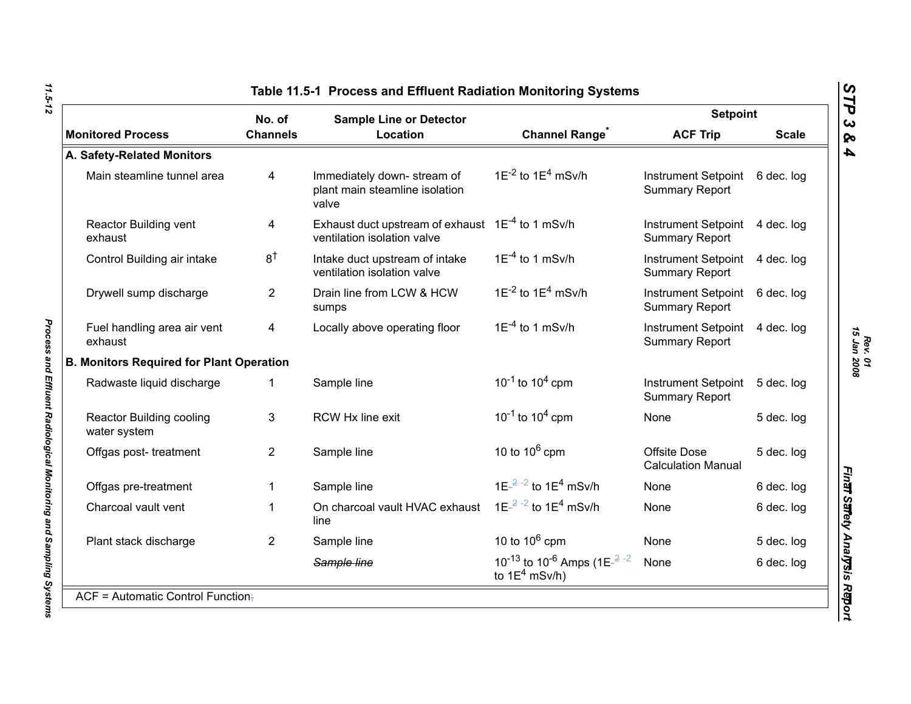<span id="page-11-0"></span>

|                                                 | No. of<br><b>Sample Line or Detector</b> |                                                                                      |                                                                                                             | <b>Setpoint</b>                                     |              |
|-------------------------------------------------|------------------------------------------|--------------------------------------------------------------------------------------|-------------------------------------------------------------------------------------------------------------|-----------------------------------------------------|--------------|
| <b>Monitored Process</b>                        | <b>Channels</b>                          | Location                                                                             | <b>Channel Range</b>                                                                                        | <b>ACF Trip</b>                                     | <b>Scale</b> |
| A. Safety-Related Monitors                      |                                          |                                                                                      |                                                                                                             |                                                     |              |
| Main steamline tunnel area                      | 4                                        | Immediately down-stream of<br>plant main steamline isolation<br>valve                | $1E^{-2}$ to $1E^{4}$ mSv/h                                                                                 | <b>Instrument Setpoint</b><br><b>Summary Report</b> | 6 dec. log   |
| <b>Reactor Building vent</b><br>exhaust         | 4                                        | Exhaust duct upstream of exhaust $1E^{-4}$ to 1 mSv/h<br>ventilation isolation valve |                                                                                                             | <b>Instrument Setpoint</b><br><b>Summary Report</b> | 4 dec. log   |
| Control Building air intake                     | 8 <sup>†</sup>                           | Intake duct upstream of intake<br>ventilation isolation valve                        | $1E^{-4}$ to 1 mSv/h                                                                                        | <b>Instrument Setpoint</b><br><b>Summary Report</b> | 4 dec. log   |
| Drywell sump discharge                          | $\overline{2}$                           | Drain line from LCW & HCW<br>sumps                                                   | $1E^{-2}$ to $1E^{4}$ mSv/h                                                                                 | <b>Instrument Setpoint</b><br><b>Summary Report</b> | 6 dec. log   |
| Fuel handling area air vent<br>exhaust          | $\overline{4}$                           | Locally above operating floor                                                        | $1E^{-4}$ to 1 mSv/h                                                                                        | <b>Instrument Setpoint</b><br><b>Summary Report</b> | 4 dec. log   |
| <b>B. Monitors Required for Plant Operation</b> |                                          |                                                                                      |                                                                                                             |                                                     |              |
| Radwaste liquid discharge                       | 1                                        | Sample line                                                                          | $10^{-1}$ to $10^{4}$ cpm                                                                                   | <b>Instrument Setpoint</b><br><b>Summary Report</b> | 5 dec. log   |
| Reactor Building cooling<br>water system        | 3                                        | RCW Hx line exit                                                                     | $10^{-1}$ to $10^{4}$ cpm                                                                                   | None                                                | 5 dec. log   |
| Offgas post-treatment                           | $\overline{2}$                           | Sample line                                                                          | 10 to $10^6$ cpm                                                                                            | Offsite Dose<br><b>Calculation Manual</b>           | 5 dec. log   |
| Offgas pre-treatment                            | 1                                        | Sample line                                                                          | $1E^{-2}$ -2 to $1E^{4}$ mSv/h                                                                              | None                                                | 6 dec. log   |
| Charcoal vault vent                             | 1                                        | On charcoal vault HVAC exhaust<br>line                                               | $1E^{-2}$ -2 to $1E^{4}$ mSv/h                                                                              | None                                                | 6 dec. log   |
| Plant stack discharge                           | $\overline{2}$                           | Sample line                                                                          | 10 to $10^6$ cpm                                                                                            | None                                                | 5 dec. log   |
|                                                 |                                          | Sample line                                                                          | 10 <sup>-13</sup> to 10 <sup>-6</sup> Amps (1E <sup><math>-2</math></sup> <sup>-2</sup><br>to $1E^4$ mSv/h) | None                                                | 6 dec. log   |

*Rev. 01*<br>15 Jan 2008 *15 Jan 2008*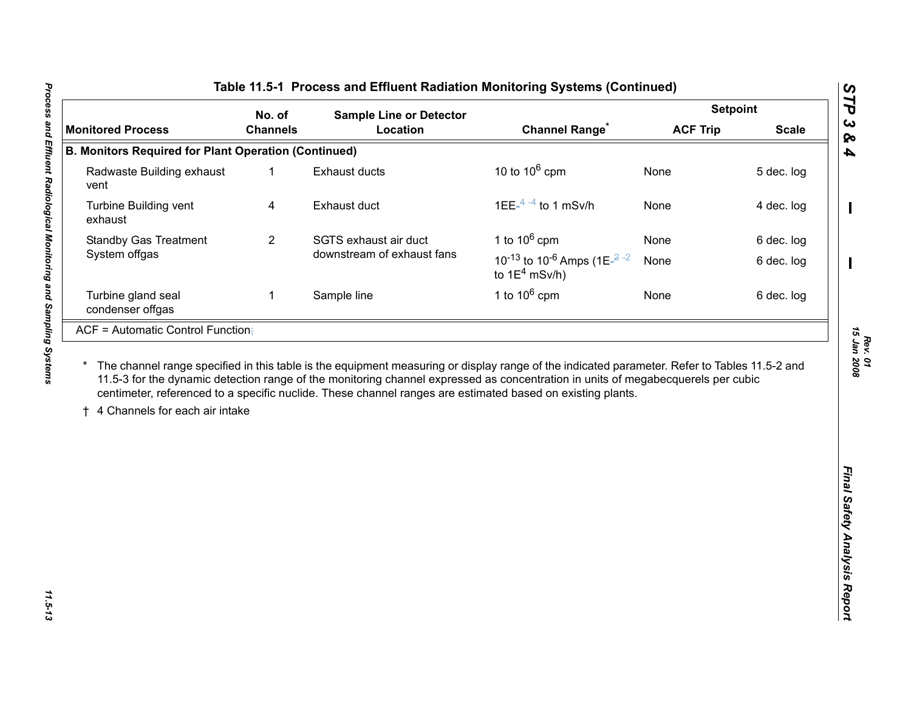| No. of                                                      |                 | <b>Sample Line or Detector</b>                                                                                                                                                                                                                 |                                                                                                             | <b>Setpoint</b> |              |
|-------------------------------------------------------------|-----------------|------------------------------------------------------------------------------------------------------------------------------------------------------------------------------------------------------------------------------------------------|-------------------------------------------------------------------------------------------------------------|-----------------|--------------|
| <b>Monitored Process</b>                                    | <b>Channels</b> | Location                                                                                                                                                                                                                                       | <b>Channel Range</b>                                                                                        | <b>ACF Trip</b> | <b>Scale</b> |
| <b>B. Monitors Required for Plant Operation (Continued)</b> |                 |                                                                                                                                                                                                                                                |                                                                                                             |                 |              |
| Radwaste Building exhaust<br>vent                           | $\mathbf{1}$    | <b>Exhaust ducts</b>                                                                                                                                                                                                                           | 10 to $10^6$ cpm                                                                                            | None            | 5 dec. log   |
| Turbine Building vent<br>exhaust                            | 4               | Exhaust duct                                                                                                                                                                                                                                   | 1EE $-4$ <sup>-4</sup> to 1 mSv/h                                                                           | None            | 4 dec. log   |
| <b>Standby Gas Treatment</b>                                | $\overline{2}$  | SGTS exhaust air duct                                                                                                                                                                                                                          | 1 to $10^6$ cpm                                                                                             | None            | 6 dec. log   |
| System offgas                                               |                 | downstream of exhaust fans                                                                                                                                                                                                                     | 10 <sup>-13</sup> to 10 <sup>-6</sup> Amps (1E <sup><math>-2</math></sup> <sup>-2</sup><br>to $1E^4$ mSv/h) | None            | 6 dec. log   |
| Turbine gland seal<br>condenser offgas                      | 1               | Sample line                                                                                                                                                                                                                                    | 1 to $10^6$ cpm                                                                                             | None            | 6 dec. log   |
| 4 Channels for each air intake                              |                 | 11.5-3 for the dynamic detection range of the monitoring channel expressed as concentration in units of megabecquerels per cubic<br>centimeter, referenced to a specific nuclide. These channel ranges are estimated based on existing plants. |                                                                                                             |                 |              |
|                                                             |                 |                                                                                                                                                                                                                                                |                                                                                                             |                 |              |

*15 Jan 2008*

11.5-13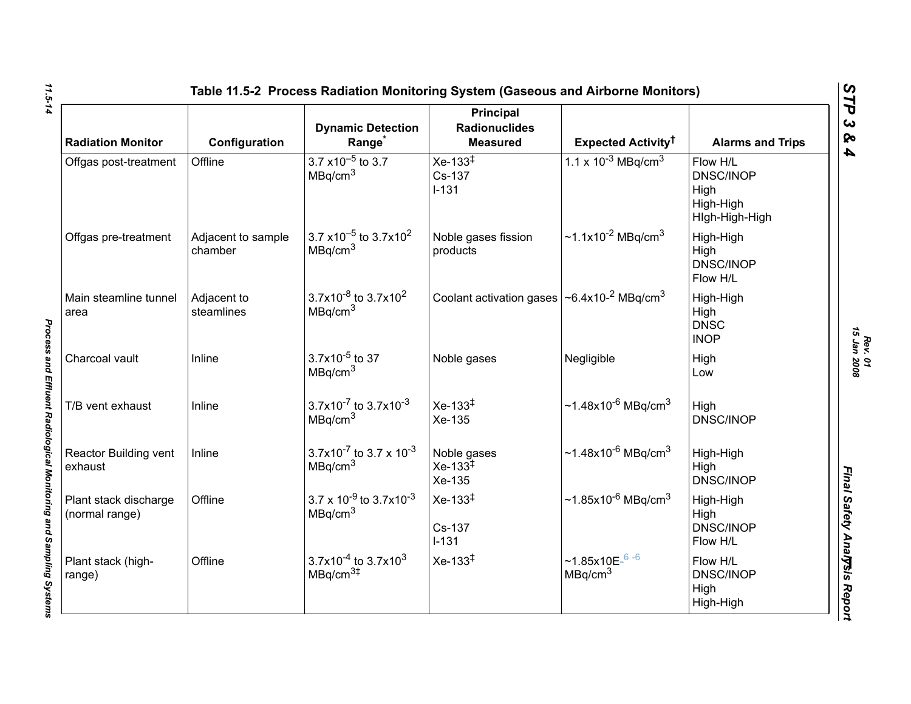| <b>Radiation Monitor</b>                | Configuration                 | <b>Dynamic Detection</b><br>Range <sup>*</sup>                                       | <b>Principal</b><br><b>Radionuclides</b><br><b>Measured</b> | <b>Expected Activity<sup>†</sup></b>                | <b>Alarms and Trips</b>                                             |
|-----------------------------------------|-------------------------------|--------------------------------------------------------------------------------------|-------------------------------------------------------------|-----------------------------------------------------|---------------------------------------------------------------------|
| Offgas post-treatment                   | Offline                       | $3.7 \times 10^{-5}$ to 3.7<br>MBq/cm <sup>3</sup>                                   | $Xe-133^{\ddagger}$<br>Cs-137<br>$I - 131$                  | $1.1 \times 10^{-3}$ MBq/cm <sup>3</sup>            | Flow H/L<br><b>DNSC/INOP</b><br>High<br>High-High<br>High-High-High |
| Offgas pre-treatment                    | Adjacent to sample<br>chamber | 3.7 $\times$ 10 <sup>-5</sup> to 3.7 $\times$ 10 <sup>2</sup><br>MBq/cm <sup>3</sup> | Noble gases fission<br>products                             | ~1.1x10 <sup>-2</sup> MBq/cm <sup>3</sup>           | High-High<br>High<br><b>DNSC/INOP</b><br>Flow H/L                   |
| Main steamline tunnel<br>area           | Adjacent to<br>steamlines     | $3.7x10^{-8}$ to 3.7x10 <sup>2</sup><br>MBq/cm <sup>3</sup>                          | Coolant activation gases   ~6.4x10-2 MBq/cm <sup>3</sup>    |                                                     | High-High<br>High<br><b>DNSC</b><br><b>INOP</b>                     |
| Charcoal vault                          | Inline                        | $3.7x10^{-5}$ to 37<br>MBq/cm <sup>3</sup>                                           | Noble gases                                                 | Negligible                                          | High<br>Low                                                         |
| T/B vent exhaust                        | Inline                        | $3.7x10^{-7}$ to $3.7x10^{-3}$<br>MBq/cm <sup>3</sup>                                | $Xe-133^{\ddagger}$<br>Xe-135                               | ~1.48x10 <sup>-6</sup> MBq/cm <sup>3</sup>          | High<br><b>DNSC/INOP</b>                                            |
| Reactor Building vent<br>exhaust        | Inline                        | 3.7x10 <sup>-7</sup> to 3.7 x 10 <sup>-3</sup><br>MBq/cm <sup>3</sup>                | Noble gases<br>$Xe-133^{\frac{3}{4}}$<br>Xe-135             | $~1.48x10^{-6}$ MBq/cm <sup>3</sup>                 | High-High<br>High<br><b>DNSC/INOP</b>                               |
| Plant stack discharge<br>(normal range) | Offline                       | $3.7 \times 10^{-9}$ to $3.7 \times 10^{-3}$<br>MBq/cm <sup>3</sup>                  | $Xe-133^{1}$<br>Cs-137<br>$I-131$                           | ~1.85x10 <sup>-6</sup> MBq/cm <sup>3</sup>          | High-High<br>High<br><b>DNSC/INOP</b><br>Flow H/L                   |
| Plant stack (high-<br>range)            | Offline                       | $3.7x10^{-4}$ to 3.7x10 <sup>3</sup><br>MBq/cm <sup>3#</sup>                         | $Xe-133^{\ddagger}$                                         | ~1.85x10E $-$ <sup>6-6</sup><br>MBq/cm <sup>3</sup> | Flow H/L<br><b>DNSC/INOP</b><br>High<br>High-High                   |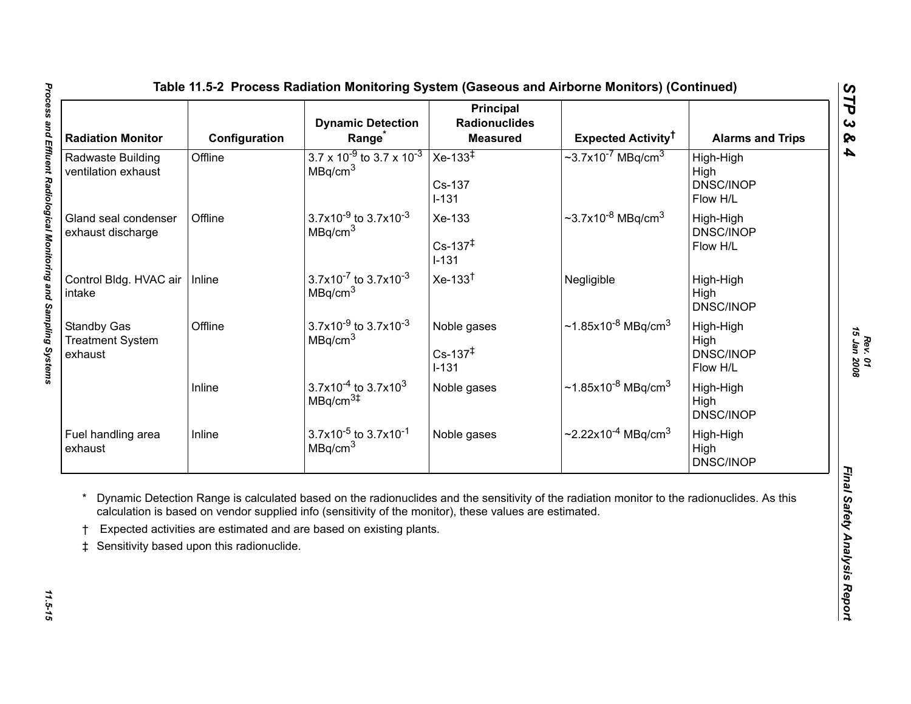<span id="page-14-0"></span>

| <b>Radiation Monitor</b>                                 | Configuration                             | <b>Dynamic Detection</b><br>Range                                                                                                                                             | <b>Principal</b><br><b>Radionuclides</b><br><b>Measured</b> | Expected Activity <sup>†</sup>                                                                                                              | <b>Alarms and Trips</b>                           |
|----------------------------------------------------------|-------------------------------------------|-------------------------------------------------------------------------------------------------------------------------------------------------------------------------------|-------------------------------------------------------------|---------------------------------------------------------------------------------------------------------------------------------------------|---------------------------------------------------|
| Radwaste Building<br>ventilation exhaust                 | Offline                                   | $3.7 \times 10^{-9}$ to 3.7 x 10 <sup>-3</sup><br>MBq/cm <sup>3</sup>                                                                                                         | $Xe-133^{\overline{+}}$<br>Cs-137<br>$I-131$                | $\sim$ 3.7x10 <sup>-7</sup> MBq/cm <sup>3</sup>                                                                                             | High-High<br>High<br><b>DNSC/INOP</b><br>Flow H/L |
| Gland seal condenser<br>exhaust discharge                | Offline                                   | $3.7x10^{-9}$ to $3.7x10^{-3}$<br>MBq/cm <sup>3</sup>                                                                                                                         | Xe-133<br>$Cs - 137‡$<br>$I-131$                            | $\sim$ 3.7x10 <sup>-8</sup> MBq/cm <sup>3</sup>                                                                                             | High-High<br><b>DNSC/INOP</b><br>Flow H/L         |
| Control Bldg. HVAC air   Inline<br>intake                |                                           | $3.7x10^{-7}$ to $3.7x10^{-3}$<br>MBq/cm <sup>3</sup>                                                                                                                         | $Xe-133^{\dagger}$                                          | Negligible                                                                                                                                  | High-High<br>High<br><b>DNSC/INOP</b>             |
| <b>Standby Gas</b><br><b>Treatment System</b><br>exhaust | Offline                                   | $3.7x10^{-9}$ to $3.7x10^{-3}$<br>MBq/cm <sup>3</sup>                                                                                                                         | Noble gases<br>$Cs - 137^{\ddagger}$<br>$I-131$             | ~1.85x10 <sup>-8</sup> MBq/cm <sup>3</sup>                                                                                                  | High-High<br>High<br><b>DNSC/INOP</b><br>Flow H/L |
|                                                          | Inline                                    | $3.7x10^{-4}$ to 3.7x10 <sup>3</sup><br>MBq/cm <sup>3</sup>                                                                                                                   | Noble gases                                                 | ~1.85x10 <sup>-8</sup> MBq/cm <sup>3</sup>                                                                                                  | High-High<br>High<br><b>DNSC/INOP</b>             |
|                                                          | Inline                                    | $3.7x10^{-5}$ to $3.7x10^{-1}$<br>MBq/cm <sup>3</sup>                                                                                                                         | Noble gases                                                 | ~2.22x10 <sup>-4</sup> MBq/cm <sup>3</sup>                                                                                                  | High-High<br>High<br><b>DNSC/INOP</b>             |
| Fuel handling area<br>exhaust<br>$\pm$                   | Sensitivity based upon this radionuclide. | calculation is based on vendor supplied info (sensitivity of the monitor), these values are estimated.<br>Expected activities are estimated and are based on existing plants. |                                                             | Dynamic Detection Range is calculated based on the radionuclides and the sensitivity of the radiation monitor to the radionuclides. As this |                                                   |

*Rev. 01*<br>15 Jan 2008 *15 Jan 2008*